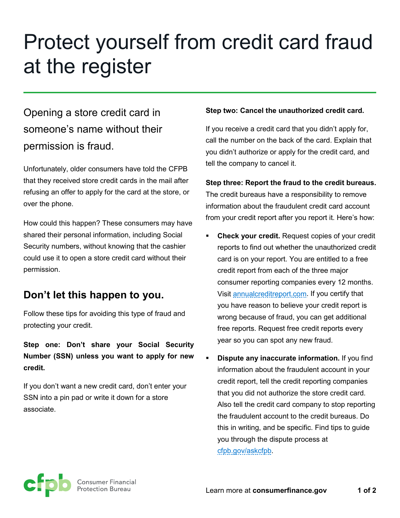# Protect yourself from credit card fraud at the register

# Opening a store credit card in someone's name without their permission is fraud.

Unfortunately, older consumers have told the CFPB that they received store credit cards in the mail after refusing an offer to apply for the card at the store, or over the phone.

How could this happen? These consumers may have shared their personal information, including Social Security numbers, without knowing that the cashier could use it to open a store credit card without their permission.

### **Don't let this happen to you.**

Follow these tips for avoiding this type of fraud and protecting your credit.

**Step one: Don't share your Social Security Number (SSN) unless you want to apply for new credit.** 

If you don't want a new credit card, don't enter your SSN into a pin pad or write it down for a store associate.

#### **Step two: Cancel the unauthorized credit card.**

If you receive a credit card that you didn't apply for, call the number on the back of the card. Explain that you didn't authorize or apply for the credit card, and tell the company to cancel it.

**Step three: Report the fraud to the credit bureaus.** The credit bureaus have a responsibility to remove information about the fraudulent credit card account from your credit report after you report it. Here's how:

- **Check your credit.** Request copies of your credit reports to find out whether the unauthorized credit card is on your report. You are entitled to a free credit report from each of the three major consumer reporting companies every 12 months. Visit [annualcreditreport.com.](http://www.annualcreditreport.com/) If you certify that you have reason to believe your credit report is wrong because of fraud, you can get additional free reports. Request free credit reports every year so you can spot any new fraud.
- **Dispute any inaccurate information.** If you find information about the fraudulent account in your credit report, tell the credit reporting companies that you did not authorize the store credit card. Also tell the credit card company to stop reporting the fraudulent account to the credit bureaus. Do this in writing, and be specific. Find tips to guide you through the dispute process at [cfpb.gov/askcfpb.](http://www.cfpb.gov/askcfpb)